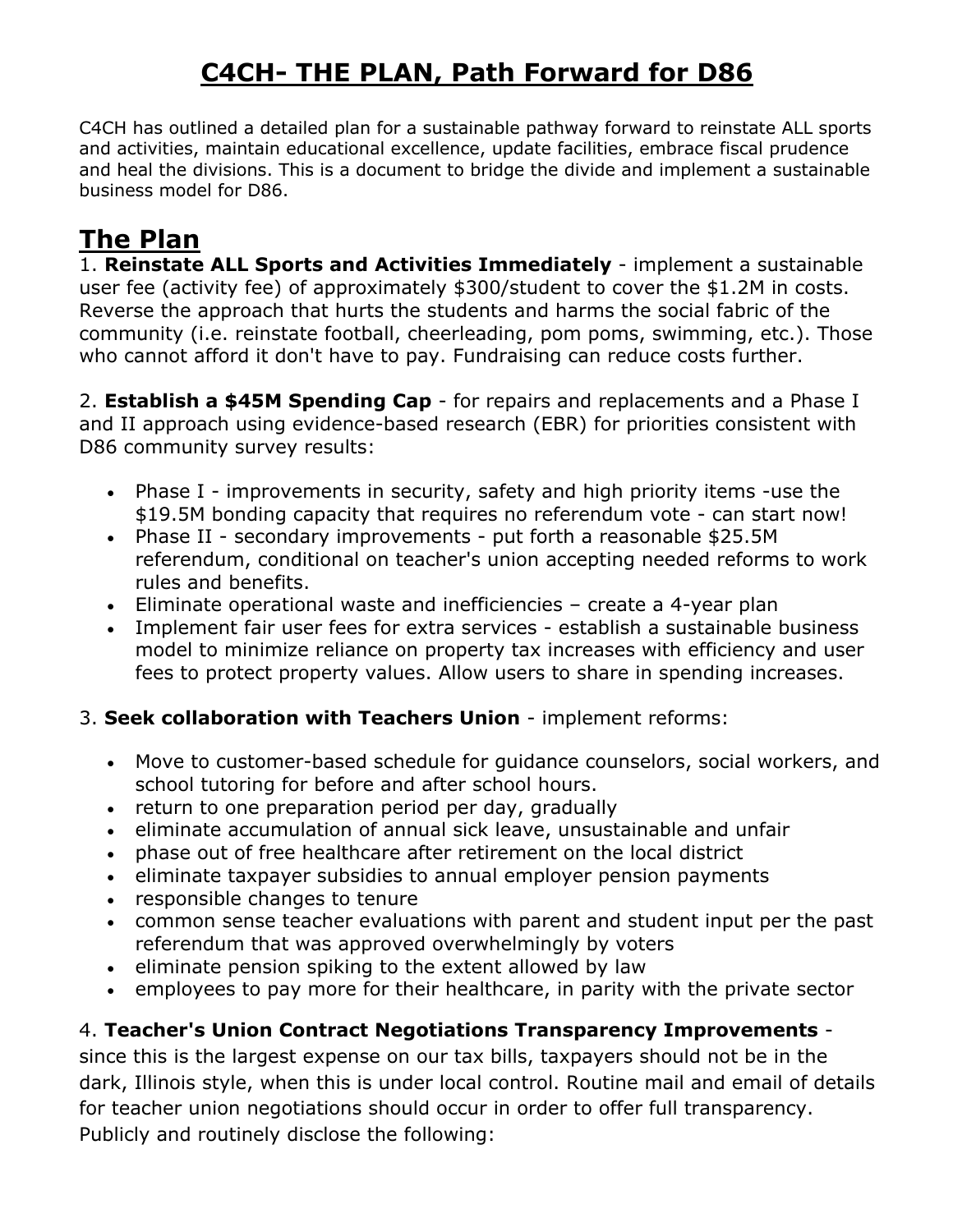# **C4CH- THE PLAN, Path Forward for D86**

C4CH has outlined a detailed plan for a sustainable pathway forward to reinstate ALL sports and activities, maintain educational excellence, update facilities, embrace fiscal prudence and heal the divisions. This is a document to bridge the divide and implement a sustainable business model for D86.

## **The Plan**

1. **Reinstate ALL Sports and Activities Immediately** - implement a sustainable user fee (activity fee) of approximately \$300/student to cover the \$1.2M in costs. Reverse the approach that hurts the students and harms the social fabric of the community (i.e. reinstate football, cheerleading, pom poms, swimming, etc.). Those who cannot afford it don't have to pay. Fundraising can reduce costs further.

2. **Establish a \$45M Spending Cap** - for repairs and replacements and a Phase I and II approach using evidence-based research (EBR) for priorities consistent with D86 community survey results:

- Phase I improvements in security, safety and high priority items -use the \$19.5M bonding capacity that requires no referendum vote - can start now!
- Phase II secondary improvements put forth a reasonable \$25.5M referendum, conditional on teacher's union accepting needed reforms to work rules and benefits.
- Eliminate operational waste and inefficiencies create a 4-year plan
- Implement fair user fees for extra services establish a sustainable business model to minimize reliance on property tax increases with efficiency and user fees to protect property values. Allow users to share in spending increases.

#### 3. **Seek collaboration with Teachers Union** - implement reforms:

- Move to customer-based schedule for guidance counselors, social workers, and school tutoring for before and after school hours.
- return to one preparation period per day, gradually
- eliminate accumulation of annual sick leave, unsustainable and unfair
- phase out of free healthcare after retirement on the local district
- eliminate taxpayer subsidies to annual employer pension payments
- responsible changes to tenure
- common sense teacher evaluations with parent and student input per the past referendum that was approved overwhelmingly by voters
- eliminate pension spiking to the extent allowed by law
- employees to pay more for their healthcare, in parity with the private sector

### 4. **Teacher's Union Contract Negotiations Transparency Improvements** -

since this is the largest expense on our tax bills, taxpayers should not be in the dark, Illinois style, when this is under local control. Routine mail and email of details for teacher union negotiations should occur in order to offer full transparency. Publicly and routinely disclose the following: